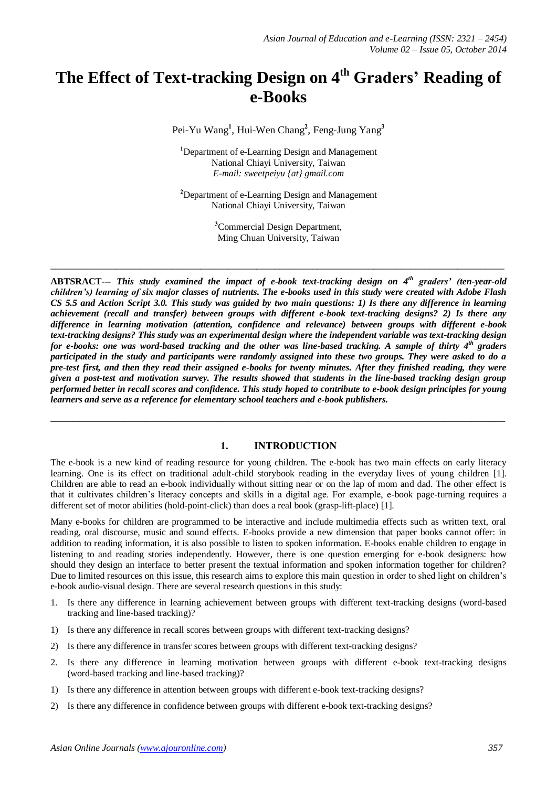# **The Effect of Text-tracking Design on 4 th Graders' Reading of e-Books**

Pei-Yu Wang**<sup>1</sup>** , Hui-Wen Chang**<sup>2</sup>** , Feng-Jung Yang**<sup>3</sup>**

**<sup>1</sup>**Department of e-Learning Design and Management National Chiayi University, Taiwan *E-mail: sweetpeiyu {at} gmail.com*

**<sup>2</sup>**Department of e-Learning Design and Management National Chiayi University, Taiwan

> **<sup>3</sup>**Commercial Design Department, Ming Chuan University, Taiwan

**\_\_\_\_\_\_\_\_\_\_\_\_\_\_\_\_\_\_\_\_\_\_\_\_\_\_\_\_\_\_\_\_\_\_\_\_\_\_\_\_\_\_\_\_\_\_\_\_\_\_\_\_\_\_\_\_\_\_\_\_\_\_\_\_\_\_\_\_\_\_\_\_\_\_\_\_\_\_\_\_\_\_\_\_\_\_\_\_\_\_\_\_\_\_\_\_\_**

**ABTSRACT---** *This study examined the impact of e-book text-tracking design on 4th graders' (ten-year-old children's) learning of six major classes of nutrients. The e-books used in this study were created with Adobe Flash CS 5.5 and Action Script 3.0. This study was guided by two main questions: 1) Is there any difference in learning achievement (recall and transfer) between groups with different e-book text-tracking designs? 2) Is there any difference in learning motivation (attention, confidence and relevance) between groups with different e-book text-tracking designs? This study was an experimental design where the independent variable was text-tracking design*  for e-books: one was word-based tracking and the other was line-based tracking. A sample of thirty 4<sup>th</sup> graders *participated in the study and participants were randomly assigned into these two groups. They were asked to do a pre-test first, and then they read their assigned e-books for twenty minutes. After they finished reading, they were given a post-test and motivation survey. The results showed that students in the line-based tracking design group performed better in recall scores and confidence. This study hoped to contribute to e-book design principles for young learners and serve as a reference for elementary school teachers and e-book publishers.*

## **1. INTRODUCTION**

\_\_\_\_\_\_\_\_\_\_\_\_\_\_\_\_\_\_\_\_\_\_\_\_\_\_\_\_\_\_\_\_\_\_\_\_\_\_\_\_\_\_\_\_\_\_\_\_\_\_\_\_\_\_\_\_\_\_\_\_\_\_\_\_\_\_\_\_\_\_\_\_\_\_\_\_\_\_\_\_\_

The e-book is a new kind of reading resource for young children. The e-book has two main effects on early literacy learning. One is its effect on traditional adult-child storybook reading in the everyday lives of young children [1]. Children are able to read an e-book individually without sitting near or on the lap of mom and dad. The other effect is that it cultivates children's literacy concepts and skills in a digital age. For example, e-book page-turning requires a different set of motor abilities (hold-point-click) than does a real book (grasp-lift-place) [1].

Many e-books for children are programmed to be interactive and include multimedia effects such as written text, oral reading, oral discourse, music and sound effects. E-books provide a new dimension that paper books cannot offer: in addition to reading information, it is also possible to listen to spoken information. E-books enable children to engage in listening to and reading stories independently. However, there is one question emerging for e-book designers: how should they design an interface to better present the textual information and spoken information together for children? Due to limited resources on this issue, this research aims to explore this main question in order to shed light on children's e-book audio-visual design. There are several research questions in this study:

- 1. Is there any difference in learning achievement between groups with different text-tracking designs (word-based tracking and line-based tracking)?
- 1) Is there any difference in recall scores between groups with different text-tracking designs?
- 2) Is there any difference in transfer scores between groups with different text-tracking designs?
- 2. Is there any difference in learning motivation between groups with different e-book text-tracking designs (word-based tracking and line-based tracking)?
- 1) Is there any difference in attention between groups with different e-book text-tracking designs?
- 2) Is there any difference in confidence between groups with different e-book text-tracking designs?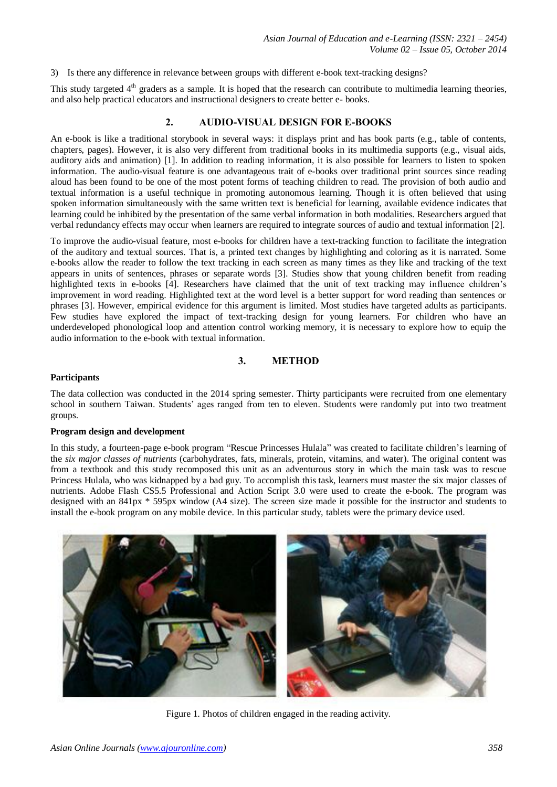3) Is there any difference in relevance between groups with different e-book text-tracking designs?

This study targeted  $4<sup>th</sup>$  graders as a sample. It is hoped that the research can contribute to multimedia learning theories, and also help practical educators and instructional designers to create better e- books.

# **2. AUDIO-VISUAL DESIGN FOR E-BOOKS**

An e-book is like a traditional storybook in several ways: it displays print and has book parts (e.g., table of contents, chapters, pages). However, it is also very different from traditional books in its multimedia supports (e.g., visual aids, auditory aids and animation) [1]. In addition to reading information, it is also possible for learners to listen to spoken information. The audio-visual feature is one advantageous trait of e-books over traditional print sources since reading aloud has been found to be one of the most potent forms of teaching children to read. The provision of both audio and textual information is a useful technique in promoting autonomous learning. Though it is often believed that using spoken information simultaneously with the same written text is beneficial for learning, available evidence indicates that learning could be inhibited by the presentation of the same verbal information in both modalities. Researchers argued that verbal redundancy effects may occur when learners are required to integrate sources of audio and textual information [2].

To improve the audio-visual feature, most e-books for children have a text-tracking function to facilitate the integration of the auditory and textual sources. That is, a printed text changes by highlighting and coloring as it is narrated. Some e-books allow the reader to follow the text tracking in each screen as many times as they like and tracking of the text appears in units of sentences, phrases or separate words [3]. Studies show that young children benefit from reading highlighted texts in e-books [4]. Researchers have claimed that the unit of text tracking may influence children's improvement in word reading. Highlighted text at the word level is a better support for word reading than sentences or phrases [3]. However, empirical evidence for this argument is limited. Most studies have targeted adults as participants. Few studies have explored the impact of text-tracking design for young learners. For children who have an underdeveloped phonological loop and attention control working memory, it is necessary to explore how to equip the audio information to the e-book with textual information.

# **3. METHOD**

#### **Participants**

The data collection was conducted in the 2014 spring semester. Thirty participants were recruited from one elementary school in southern Taiwan. Students' ages ranged from ten to eleven. Students were randomly put into two treatment groups.

#### **Program design and development**

In this study, a fourteen-page e-book program "Rescue Princesses Hulala" was created to facilitate children's learning of the *six major classes of nutrients* [\(carbohydrates,](http://en.wikipedia.org/wiki/Carbohydrate) [fats,](http://en.wikipedia.org/wiki/Fat) [minerals,](http://en.wikipedia.org/wiki/Dietary_mineral) [protein,](http://en.wikipedia.org/wiki/Protein) [vitamins,](http://en.wikipedia.org/wiki/Vitamin) and water). The original content was from a textbook and this study recomposed this unit as an adventurous story in which the main task was to rescue Princess Hulala, who was kidnapped by a bad guy. To accomplish this task, learners must master the six major classes of nutrients. Adobe Flash CS5.5 Professional and Action Script 3.0 were used to create the e-book. The program was designed with an 841px \* 595px window (A4 size). The screen size made it possible for the instructor and students to install the e-book program on any mobile device. In this particular study, tablets were the primary device used.



Figure 1. Photos of children engaged in the reading activity.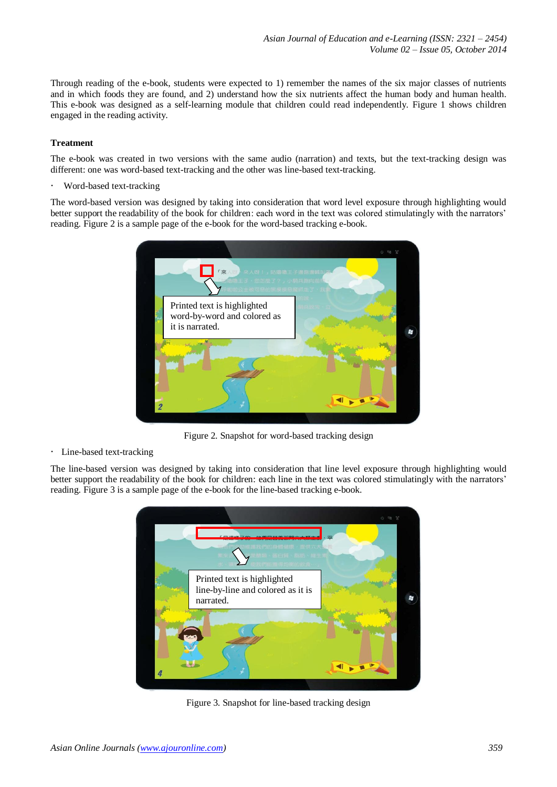Through reading of the e-book, students were expected to 1) remember the names of the six major classes of nutrients and in which foods they are found, and 2) understand how the six nutrients affect the human body and human health. This e-book was designed as a self-learning module that children could read independently. Figure 1 shows children engaged in the reading activity.

## **Treatment**

The e-book was created in two versions with the same audio (narration) and texts, but the text-tracking design was different: one was word-based text-tracking and the other was line-based text-tracking.

Word-based text-tracking

The word-based version was designed by taking into consideration that word level exposure through highlighting would better support the readability of the book for children: each word in the text was colored stimulatingly with the narrators' reading. Figure 2 is a sample page of the e-book for the word-based tracking e-book.



Figure 2. Snapshot for word-based tracking design

Line-based text-tracking

The line-based version was designed by taking into consideration that line level exposure through highlighting would better support the readability of the book for children: each line in the text was colored stimulatingly with the narrators' reading. Figure 3 is a sample page of the e-book for the line-based tracking e-book.



Figure 3. Snapshot for line-based tracking design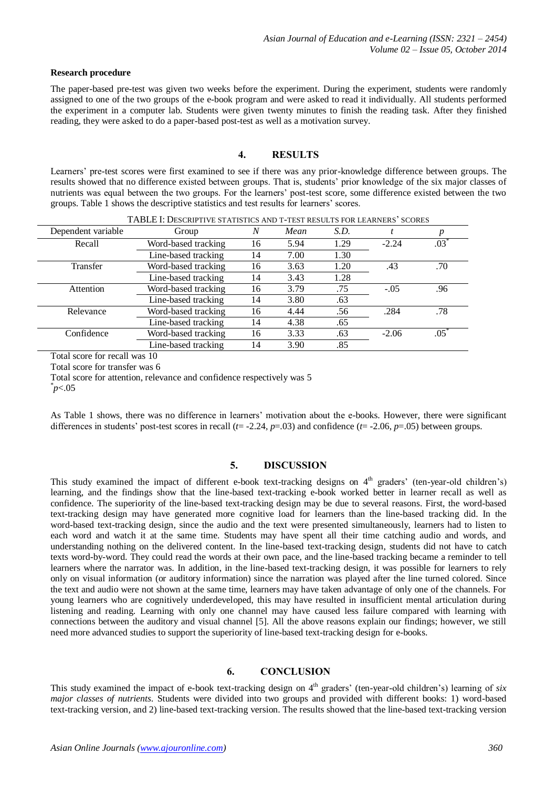#### **Research procedure**

The paper-based pre-test was given two weeks before the experiment. During the experiment, students were randomly assigned to one of the two groups of the e-book program and were asked to read it individually. All students performed the experiment in a computer lab. Students were given twenty minutes to finish the reading task. After they finished reading, they were asked to do a paper-based post-test as well as a motivation survey.

## **4. RESULTS**

Learners' pre-test scores were first examined to see if there was any prior-knowledge difference between groups. The results showed that no difference existed between groups. That is, students' prior knowledge of the six major classes of nutrients was equal between the two groups. For the learners' post-test score, some difference existed between the two groups. Table 1 shows the descriptive statistics and test results for learners' scores.

| TABLE I: DESCRIPTIVE STATISTICS AND T-TEST RESULTS FOR LEARNERS' SCORES |                     |    |      |      |         |              |
|-------------------------------------------------------------------------|---------------------|----|------|------|---------|--------------|
| Dependent variable                                                      | Group               | N  | Mean | S.D. |         | p            |
| Recall                                                                  | Word-based tracking | 16 | 5.94 | 1.29 | $-2.24$ | $.03\degree$ |
|                                                                         | Line-based tracking | 14 | 7.00 | 1.30 |         |              |
| Transfer                                                                | Word-based tracking | 16 | 3.63 | 1.20 | .43     | .70          |
|                                                                         | Line-based tracking | 14 | 3.43 | 1.28 |         |              |
| Attention                                                               | Word-based tracking | 16 | 3.79 | .75  | $-.05$  | .96          |
|                                                                         | Line-based tracking | 14 | 3.80 | .63  |         |              |
| Relevance                                                               | Word-based tracking | 16 | 4.44 | .56  | .284    | .78          |
|                                                                         | Line-based tracking | 14 | 4.38 | .65  |         |              |
| Confidence                                                              | Word-based tracking | 16 | 3.33 | .63  | $-2.06$ | .05          |
|                                                                         | Line-based tracking | 14 | 3.90 | .85  |         |              |

Total score for recall was 10

Total score for transfer was 6

Total score for attention, relevance and confidence respectively was 5

\* *p*<.05

As Table 1 shows, there was no difference in learners' motivation about the e-books. However, there were significant differences in students' post-test scores in recall  $(t=2.24, p=0.03)$  and confidence  $(t=2.06, p=0.05)$  between groups.

## **5. DISCUSSION**

This study examined the impact of different e-book text-tracking designs on  $4<sup>th</sup>$  graders' (ten-year-old children's) learning, and the findings show that the line-based text-tracking e-book worked better in learner recall as well as confidence. The superiority of the line-based text-tracking design may be due to several reasons. First, the word-based text-tracking design may have generated more cognitive load for learners than the line-based tracking did. In the word-based text-tracking design, since the audio and the text were presented simultaneously, learners had to listen to each word and watch it at the same time. Students may have spent all their time catching audio and words, and understanding nothing on the delivered content. In the line-based text-tracking design, students did not have to catch texts word-by-word. They could read the words at their own pace, and the line-based tracking became a reminder to tell learners where the narrator was. In addition, in the line-based text-tracking design, it was possible for learners to rely only on visual information (or auditory information) since the narration was played after the line turned colored. Since the text and audio were not shown at the same time, learners may have taken advantage of only one of the channels. For young learners who are cognitively underdeveloped, this may have resulted in insufficient mental articulation during listening and reading. Learning with only one channel may have caused less failure compared with learning with connections between the auditory and visual channel [5]. All the above reasons explain our findings; however, we still need more advanced studies to support the superiority of line-based text-tracking design for e-books.

## **6. CONCLUSION**

This study examined the impact of e-book text-tracking design on 4<sup>th</sup> graders' (ten-year-old children's) learning of *six major classes of nutrients*. Students were divided into two groups and provided with different books: 1) word-based text-tracking version, and 2) line-based text-tracking version. The results showed that the line-based text-tracking version